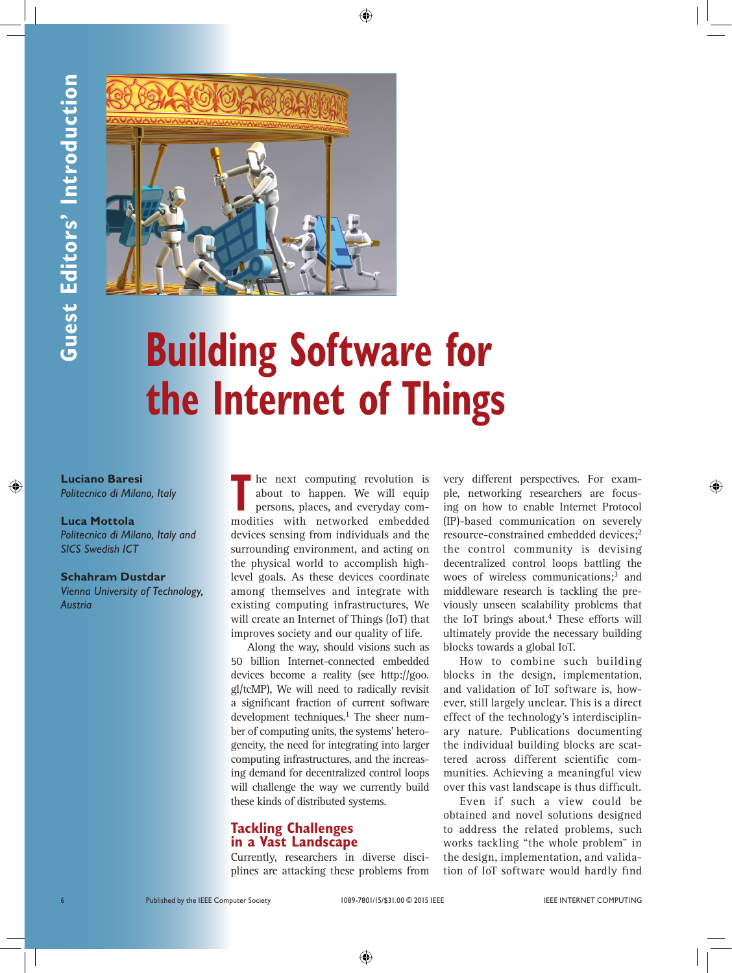

# **Building Software for the Internet of Things**

**Luciano Baresi** *Politecnico di Milano, Italy*

### **Luca Mottola**

*Politecnico di Milano, Italy and SICS Swedish ICT*

#### **Schahram Dustdar**

*Vienna University of Technology, Austria*

**THE REVIEW SERVIEW IN THE REVIEW OF THE REVIEW OF THE REVIEW OF THE PERSONAL PROPERTY OF THE REVIEW OF THE REVIEW OF THE REVIEW OF THE REVIEW OF THE REVIEW OF THE REVIEW OF THE REVIEW OF THE REVIEW OF THE REVIEW OF THE RE** about to happen. We will equip persons, places, and everyday commodities with networked embedded devices sensing from individuals and the surrounding environment, and acting on the physical world to accomplish highlevel goals. As these devices coordinate among themselves and integrate with existing computing infrastructures, We will create an Internet of Things (IoT) that improves society and our quality of life.

Along the way, should visions such as 50 billion Internet-connected embedded devices become a reality (see http://goo. gl/tcMP), We will need to radically revisit a significant fraction of current software development techniques.<sup>1</sup> The sheer number of computing units, the systems' heterogeneity, the need for integrating into larger computing infrastructures, and the increasing demand for decentralized control loops will challenge the way we currently build these kinds of distributed systems.

## **Tackling Challenges in a Vast Landscape**

Currently, researchers in diverse disciplines are attacking these problems from very different perspectives. For example, networking researchers are focusing on how to enable Internet Protocol (IP)-based communication on severely resource-constrained embedded devices;<sup>2</sup> the control community is devising decentralized control loops battling the woes of wireless communications;<sup>3</sup> and middleware research is tackling the previously unseen scalability problems that the IoT brings about.<sup>4</sup> These efforts will ultimately provide the necessary building blocks towards a global IoT.

How to combine such building blocks in the design, implementation, and validation of IoT software is, however, still largely unclear. This is a direct effect of the technology's interdisciplinary nature. Publications documenting the individual building blocks are scattered across different scientific communities. Achieving a meaningful view over this vast landscape is thus difficult.

Even if such a view could be obtained and novel solutions designed to address the related problems, such works tackling "the whole problem" in the design, implementation, and validation of IoT software would hardly find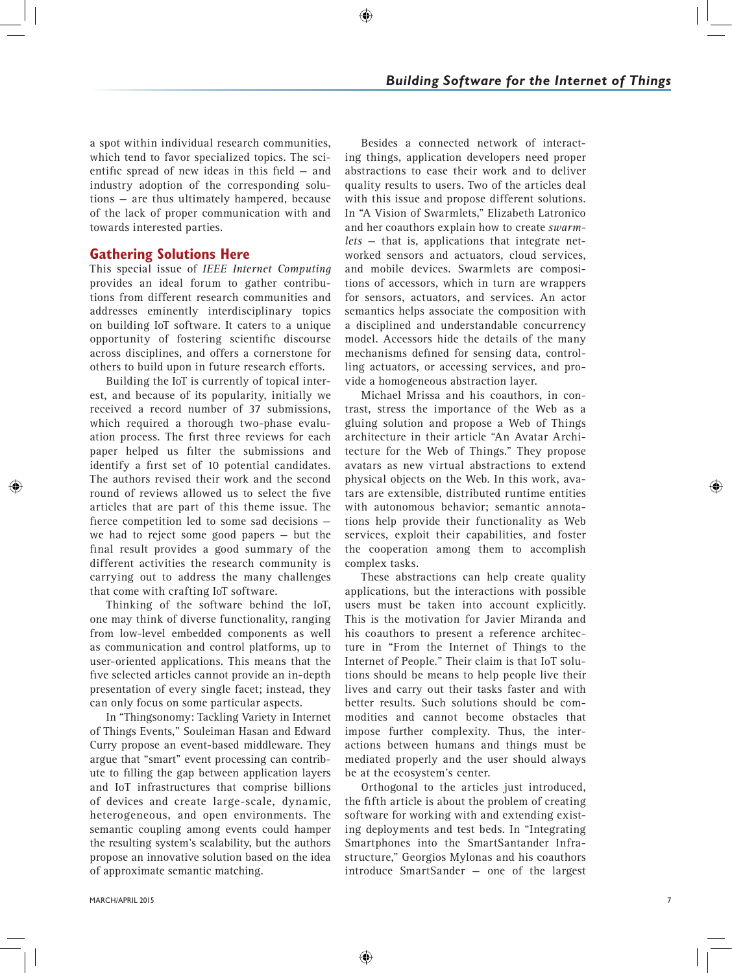a spot within individual research communities, which tend to favor specialized topics. The scientific spread of new ideas in this field — and industry adoption of the corresponding solutions — are thus ultimately hampered, because of the lack of proper communication with and towards interested parties.

# **Gathering Solutions Here**

This special issue of *IEEE Internet Computing* provides an ideal forum to gather contributions from different research communities and addresses eminently interdisciplinary topics on building IoT software. It caters to a unique opportunity of fostering scientific discourse across disciplines, and offers a cornerstone for others to build upon in future research efforts.

Building the IoT is currently of topical interest, and because of its popularity, initially we received a record number of 37 submissions, which required a thorough two-phase evaluation process. The first three reviews for each paper helped us filter the submissions and identify a first set of 10 potential candidates. The authors revised their work and the second round of reviews allowed us to select the five articles that are part of this theme issue. The fierce competition led to some sad decisions we had to reject some good papers — but the final result provides a good summary of the different activities the research community is carrying out to address the many challenges that come with crafting IoT software.

Thinking of the software behind the IoT, one may think of diverse functionality, ranging from low-level embedded components as well as communication and control platforms, up to user-oriented applications. This means that the five selected articles cannot provide an in-depth presentation of every single facet; instead, they can only focus on some particular aspects.

In "Thingsonomy: Tackling Variety in Internet of Things Events," Souleiman Hasan and Edward Curry propose an event-based middleware. They argue that "smart" event processing can contribute to filling the gap between application layers and IoT infrastructures that comprise billions of devices and create large-scale, dynamic, heterogeneous, and open environments. The semantic coupling among events could hamper the resulting system's scalability, but the authors propose an innovative solution based on the idea of approximate semantic matching.

Besides a connected network of interacting things, application developers need proper abstractions to ease their work and to deliver quality results to users. Two of the articles deal with this issue and propose different solutions. In "A Vision of Swarmlets," Elizabeth Latronico and her coauthors explain how to create *swarmlets* — that is, applications that integrate networked sensors and actuators, cloud services, and mobile devices. Swarmlets are compositions of accessors, which in turn are wrappers for sensors, actuators, and services. An actor semantics helps associate the composition with a disciplined and understandable concurrency model. Accessors hide the details of the many mechanisms defined for sensing data, controlling actuators, or accessing services, and provide a homogeneous abstraction layer.

Michael Mrissa and his coauthors, in contrast, stress the importance of the Web as a gluing solution and propose a Web of Things architecture in their article "An Avatar Architecture for the Web of Things." They propose avatars as new virtual abstractions to extend physical objects on the Web. In this work, avatars are extensible, distributed runtime entities with autonomous behavior; semantic annotations help provide their functionality as Web services, exploit their capabilities, and foster the cooperation among them to accomplish complex tasks.

These abstractions can help create quality applications, but the interactions with possible users must be taken into account explicitly. This is the motivation for Javier Miranda and his coauthors to present a reference architecture in "From the Internet of Things to the Internet of People." Their claim is that IoT solutions should be means to help people live their lives and carry out their tasks faster and with better results. Such solutions should be commodities and cannot become obstacles that impose further complexity. Thus, the interactions between humans and things must be mediated properly and the user should always be at the ecosystem's center.

Orthogonal to the articles just introduced, the fifth article is about the problem of creating software for working with and extending existing deployments and test beds. In "Integrating Smartphones into the SmartSantander Infrastructure," Georgios Mylonas and his coauthors introduce SmartSander — one of the largest